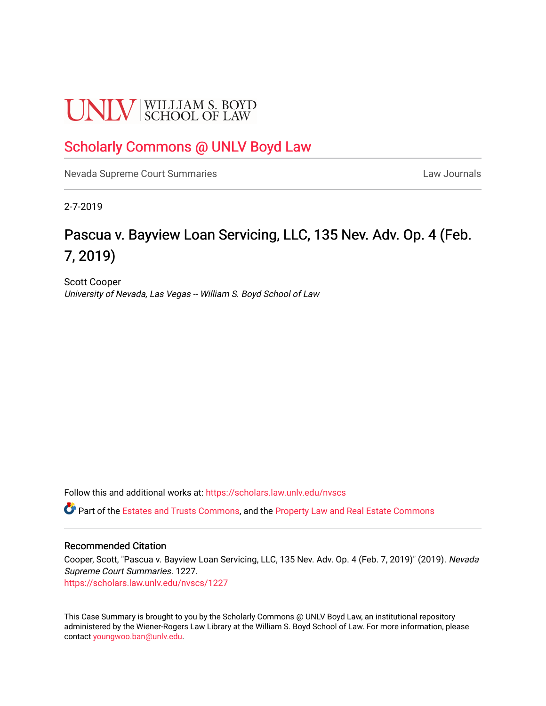# **UNLV** SCHOOL OF LAW

# [Scholarly Commons @ UNLV Boyd Law](https://scholars.law.unlv.edu/)

[Nevada Supreme Court Summaries](https://scholars.law.unlv.edu/nvscs) **Law Journals** Law Journals

2-7-2019

# Pascua v. Bayview Loan Servicing, LLC, 135 Nev. Adv. Op. 4 (Feb. 7, 2019)

Scott Cooper University of Nevada, Las Vegas -- William S. Boyd School of Law

Follow this and additional works at: [https://scholars.law.unlv.edu/nvscs](https://scholars.law.unlv.edu/nvscs?utm_source=scholars.law.unlv.edu%2Fnvscs%2F1227&utm_medium=PDF&utm_campaign=PDFCoverPages)

Part of the [Estates and Trusts Commons,](http://network.bepress.com/hgg/discipline/906?utm_source=scholars.law.unlv.edu%2Fnvscs%2F1227&utm_medium=PDF&utm_campaign=PDFCoverPages) and the [Property Law and Real Estate Commons](http://network.bepress.com/hgg/discipline/897?utm_source=scholars.law.unlv.edu%2Fnvscs%2F1227&utm_medium=PDF&utm_campaign=PDFCoverPages)

# Recommended Citation

Cooper, Scott, "Pascua v. Bayview Loan Servicing, LLC, 135 Nev. Adv. Op. 4 (Feb. 7, 2019)" (2019). Nevada Supreme Court Summaries. 1227.

[https://scholars.law.unlv.edu/nvscs/1227](https://scholars.law.unlv.edu/nvscs/1227?utm_source=scholars.law.unlv.edu%2Fnvscs%2F1227&utm_medium=PDF&utm_campaign=PDFCoverPages) 

This Case Summary is brought to you by the Scholarly Commons @ UNLV Boyd Law, an institutional repository administered by the Wiener-Rogers Law Library at the William S. Boyd School of Law. For more information, please contact [youngwoo.ban@unlv.edu](mailto:youngwoo.ban@unlv.edu).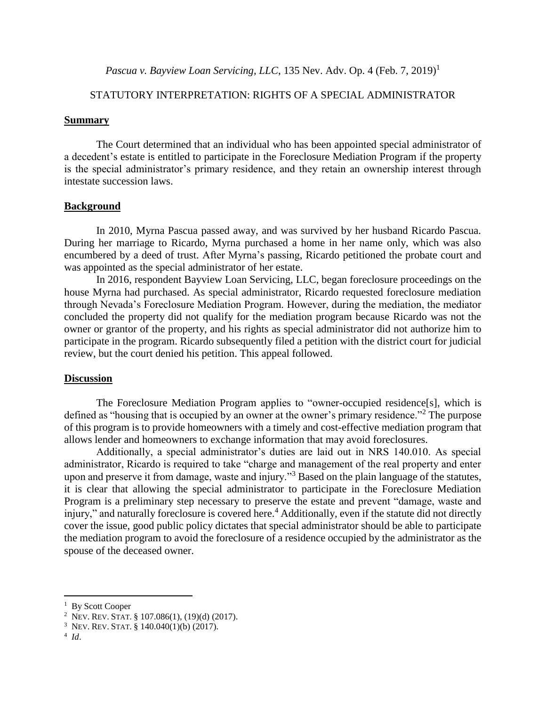*Pascua v. Bayview Loan Servicing, LLC, 135 Nev. Adv. Op. 4 (Feb. 7, 2019)*<sup>1</sup>

# STATUTORY INTERPRETATION: RIGHTS OF A SPECIAL ADMINISTRATOR

#### **Summary**

The Court determined that an individual who has been appointed special administrator of a decedent's estate is entitled to participate in the Foreclosure Mediation Program if the property is the special administrator's primary residence, and they retain an ownership interest through intestate succession laws.

## **Background**

In 2010, Myrna Pascua passed away, and was survived by her husband Ricardo Pascua. During her marriage to Ricardo, Myrna purchased a home in her name only, which was also encumbered by a deed of trust. After Myrna's passing, Ricardo petitioned the probate court and was appointed as the special administrator of her estate.

In 2016, respondent Bayview Loan Servicing, LLC, began foreclosure proceedings on the house Myrna had purchased. As special administrator, Ricardo requested foreclosure mediation through Nevada's Foreclosure Mediation Program. However, during the mediation, the mediator concluded the property did not qualify for the mediation program because Ricardo was not the owner or grantor of the property, and his rights as special administrator did not authorize him to participate in the program. Ricardo subsequently filed a petition with the district court for judicial review, but the court denied his petition. This appeal followed.

### **Discussion**

The Foreclosure Mediation Program applies to "owner-occupied residence[s], which is defined as "housing that is occupied by an owner at the owner's primary residence."<sup>2</sup> The purpose of this program is to provide homeowners with a timely and cost-effective mediation program that allows lender and homeowners to exchange information that may avoid foreclosures.

Additionally, a special administrator's duties are laid out in NRS 140.010. As special administrator, Ricardo is required to take "charge and management of the real property and enter upon and preserve it from damage, waste and injury."<sup>3</sup> Based on the plain language of the statutes, it is clear that allowing the special administrator to participate in the Foreclosure Mediation Program is a preliminary step necessary to preserve the estate and prevent "damage, waste and injury," and naturally foreclosure is covered here.<sup>4</sup> Additionally, even if the statute did not directly cover the issue, good public policy dictates that special administrator should be able to participate the mediation program to avoid the foreclosure of a residence occupied by the administrator as the spouse of the deceased owner.

 $\overline{a}$ 

<sup>&</sup>lt;sup>1</sup> By Scott Cooper

<sup>2</sup> NEV. REV. STAT. § 107.086(1), (19)(d) (2017).

<sup>&</sup>lt;sup>3</sup> Nev. Rev. Stat. § 140.040(1)(b) (2017).

<sup>4</sup> *Id*.